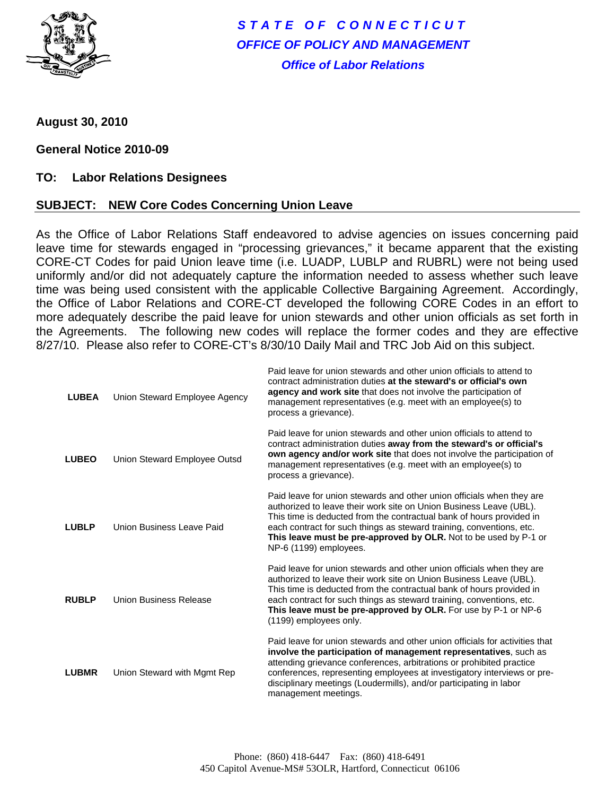

*STATE OF CONNECTICUT OFFICE OF POLICY AND MANAGEMENT Office of Labor Relations* 

**August 30, 2010** 

## **General Notice 2010-09**

## **TO: Labor Relations Designees**

## **SUBJECT: NEW Core Codes Concerning Union Leave**

As the Office of Labor Relations Staff endeavored to advise agencies on issues concerning paid leave time for stewards engaged in "processing grievances," it became apparent that the existing CORE-CT Codes for paid Union leave time (i.e. LUADP, LUBLP and RUBRL) were not being used uniformly and/or did not adequately capture the information needed to assess whether such leave time was being used consistent with the applicable Collective Bargaining Agreement. Accordingly, the Office of Labor Relations and CORE-CT developed the following CORE Codes in an effort to more adequately describe the paid leave for union stewards and other union officials as set forth in the Agreements. The following new codes will replace the former codes and they are effective 8/27/10. Please also refer to CORE-CT's 8/30/10 Daily Mail and TRC Job Aid on this subject.

| <b>LUBEA</b> | Union Steward Employee Agency | Paid leave for union stewards and other union officials to attend to<br>contract administration duties at the steward's or official's own<br>agency and work site that does not involve the participation of<br>management representatives (e.g. meet with an employee(s) to<br>process a grievance).                                                                                            |
|--------------|-------------------------------|--------------------------------------------------------------------------------------------------------------------------------------------------------------------------------------------------------------------------------------------------------------------------------------------------------------------------------------------------------------------------------------------------|
| <b>LUBEO</b> | Union Steward Employee Outsd  | Paid leave for union stewards and other union officials to attend to<br>contract administration duties away from the steward's or official's<br>own agency and/or work site that does not involve the participation of<br>management representatives (e.g. meet with an employee(s) to<br>process a grievance).                                                                                  |
| <b>LUBLP</b> | Union Business Leave Paid     | Paid leave for union stewards and other union officials when they are<br>authorized to leave their work site on Union Business Leave (UBL).<br>This time is deducted from the contractual bank of hours provided in<br>each contract for such things as steward training, conventions, etc.<br>This leave must be pre-approved by OLR. Not to be used by P-1 or<br>NP-6 (1199) employees.        |
| <b>RUBLP</b> | Union Business Release        | Paid leave for union stewards and other union officials when they are<br>authorized to leave their work site on Union Business Leave (UBL).<br>This time is deducted from the contractual bank of hours provided in<br>each contract for such things as steward training, conventions, etc.<br>This leave must be pre-approved by OLR. For use by P-1 or NP-6<br>(1199) employees only.          |
| <b>LUBMR</b> | Union Steward with Mgmt Rep   | Paid leave for union stewards and other union officials for activities that<br>involve the participation of management representatives, such as<br>attending grievance conferences, arbitrations or prohibited practice<br>conferences, representing employees at investigatory interviews or pre-<br>disciplinary meetings (Loudermills), and/or participating in labor<br>management meetings. |